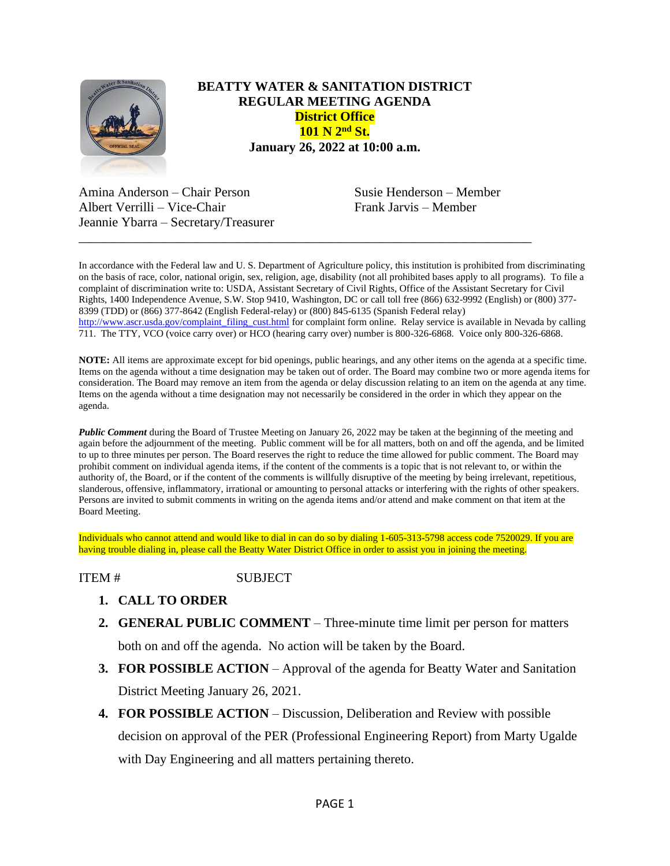

## **BEATTY WATER & SANITATION DISTRICT REGULAR MEETING AGENDA District Office 101 N 2nd St. January 26, 2022 at 10:00 a.m.**

Amina Anderson – Chair Person Susie Henderson – Member Albert Verrilli – Vice-Chair Frank Jarvis – Member Jeannie Ybarra – Secretary/Treasurer

In accordance with the Federal law and U. S. Department of Agriculture policy, this institution is prohibited from discriminating on the basis of race, color, national origin, sex, religion, age, disability (not all prohibited bases apply to all programs). To file a complaint of discrimination write to: USDA, Assistant Secretary of Civil Rights, Office of the Assistant Secretary for Civil Rights, 1400 Independence Avenue, S.W. Stop 9410, Washington, DC or call toll free (866) 632-9992 (English) or (800) 377- 8399 (TDD) or (866) 377-8642 (English Federal-relay) or (800) 845-6135 (Spanish Federal relay) [http://www.ascr.usda.gov/complaint\\_filing\\_cust.html](http://www.ascr.usda.gov/complaint_filing_cust.html) for complaint form online. Relay service is available in Nevada by calling 711. The TTY, VCO (voice carry over) or HCO (hearing carry over) number is 800-326-6868. Voice only 800-326-6868.

\_\_\_\_\_\_\_\_\_\_\_\_\_\_\_\_\_\_\_\_\_\_\_\_\_\_\_\_\_\_\_\_\_\_\_\_\_\_\_\_\_\_\_\_\_\_\_\_\_\_\_\_\_\_\_\_\_\_\_\_\_\_\_\_\_\_\_\_\_

**NOTE:** All items are approximate except for bid openings, public hearings, and any other items on the agenda at a specific time. Items on the agenda without a time designation may be taken out of order. The Board may combine two or more agenda items for consideration. The Board may remove an item from the agenda or delay discussion relating to an item on the agenda at any time. Items on the agenda without a time designation may not necessarily be considered in the order in which they appear on the agenda.

*Public Comment* during the Board of Trustee Meeting on January 26, 2022 may be taken at the beginning of the meeting and again before the adjournment of the meeting. Public comment will be for all matters, both on and off the agenda, and be limited to up to three minutes per person. The Board reserves the right to reduce the time allowed for public comment. The Board may prohibit comment on individual agenda items, if the content of the comments is a topic that is not relevant to, or within the authority of, the Board, or if the content of the comments is willfully disruptive of the meeting by being irrelevant, repetitious, slanderous, offensive, inflammatory, irrational or amounting to personal attacks or interfering with the rights of other speakers. Persons are invited to submit comments in writing on the agenda items and/or attend and make comment on that item at the Board Meeting.

Individuals who cannot attend and would like to dial in can do so by dialing 1-605-313-5798 access code 7520029. If you are having trouble dialing in, please call the Beatty Water District Office in order to assist you in joining the meeting.

ITEM # SUBJECT

- **1. CALL TO ORDER**
- **2. GENERAL PUBLIC COMMENT** Three-minute time limit per person for matters both on and off the agenda. No action will be taken by the Board.
- **3. FOR POSSIBLE ACTION** Approval of the agenda for Beatty Water and Sanitation District Meeting January 26, 2021.
- **4. FOR POSSIBLE ACTION** Discussion, Deliberation and Review with possible decision on approval of the PER (Professional Engineering Report) from Marty Ugalde with Day Engineering and all matters pertaining thereto.